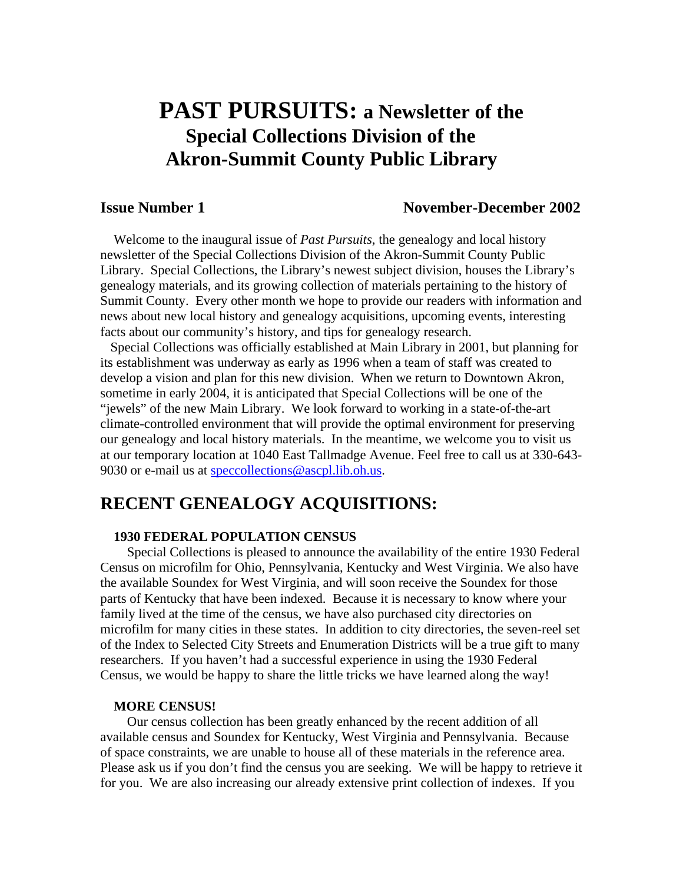# **PAST PURSUITS: a Newsletter of the Special Collections Division of the Akron-Summit County Public Library**

# **Issue Number 1 November-December 2002**

 Welcome to the inaugural issue of *Past Pursuits*, the genealogy and local history newsletter of the Special Collections Division of the Akron-Summit County Public Library. Special Collections, the Library's newest subject division, houses the Library's genealogy materials, and its growing collection of materials pertaining to the history of Summit County. Every other month we hope to provide our readers with information and news about new local history and genealogy acquisitions, upcoming events, interesting facts about our community's history, and tips for genealogy research.

 Special Collections was officially established at Main Library in 2001, but planning for its establishment was underway as early as 1996 when a team of staff was created to develop a vision and plan for this new division. When we return to Downtown Akron, sometime in early 2004, it is anticipated that Special Collections will be one of the "jewels" of the new Main Library. We look forward to working in a state-of-the-art climate-controlled environment that will provide the optimal environment for preserving our genealogy and local history materials. In the meantime, we welcome you to visit us at our temporary location at 1040 East Tallmadge Avenue. Feel free to call us at 330-643- 9030 or e-mail us at [speccollections@ascpl.lib.oh.us](mailto:speccollections@ascpl.lib.oh.us).

# **RECENT GENEALOGY ACQUISITIONS:**

# **1930 FEDERAL POPULATION CENSUS**

 Special Collections is pleased to announce the availability of the entire 1930 Federal Census on microfilm for Ohio, Pennsylvania, Kentucky and West Virginia. We also have the available Soundex for West Virginia, and will soon receive the Soundex for those parts of Kentucky that have been indexed. Because it is necessary to know where your family lived at the time of the census, we have also purchased city directories on microfilm for many cities in these states. In addition to city directories, the seven-reel set of the Index to Selected City Streets and Enumeration Districts will be a true gift to many researchers. If you haven't had a successful experience in using the 1930 Federal Census, we would be happy to share the little tricks we have learned along the way!

#### **MORE CENSUS!**

Our census collection has been greatly enhanced by the recent addition of all available census and Soundex for Kentucky, West Virginia and Pennsylvania. Because of space constraints, we are unable to house all of these materials in the reference area. Please ask us if you don't find the census you are seeking. We will be happy to retrieve it for you. We are also increasing our already extensive print collection of indexes. If you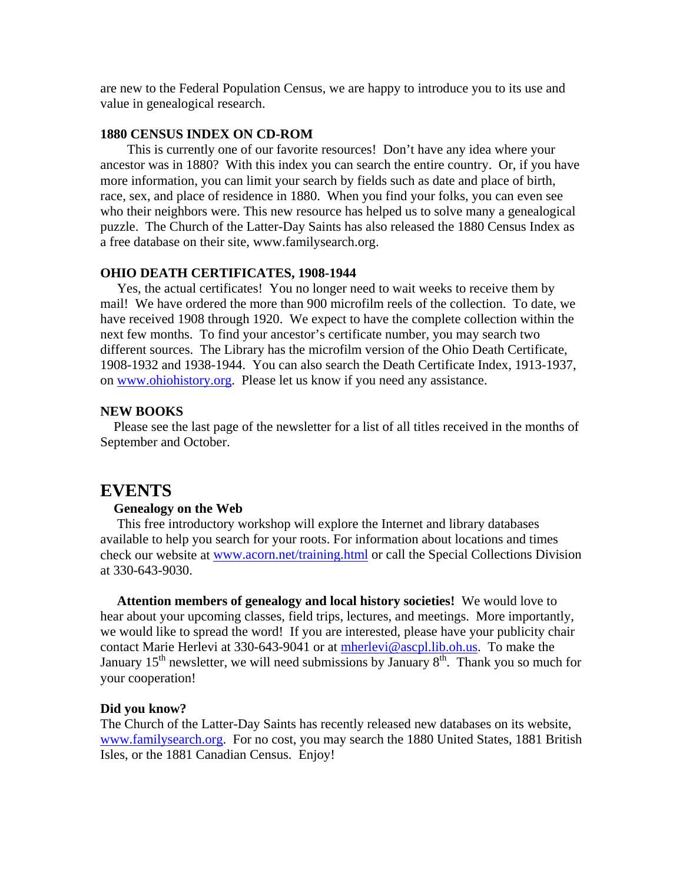are new to the Federal Population Census, we are happy to introduce you to its use and value in genealogical research.

### **1880 CENSUS INDEX ON CD-ROM**

This is currently one of our favorite resources! Don't have any idea where your ancestor was in 1880? With this index you can search the entire country. Or, if you have more information, you can limit your search by fields such as date and place of birth, race, sex, and place of residence in 1880. When you find your folks, you can even see who their neighbors were. This new resource has helped us to solve many a genealogical puzzle. The Church of the Latter-Day Saints has also released the 1880 Census Index as a free database on their site, www.familysearch.org.

#### **OHIO DEATH CERTIFICATES, 1908-1944**

 Yes, the actual certificates! You no longer need to wait weeks to receive them by mail! We have ordered the more than 900 microfilm reels of the collection. To date, we have received 1908 through 1920. We expect to have the complete collection within the next few months. To find your ancestor's certificate number, you may search two different sources. The Library has the microfilm version of the Ohio Death Certificate, 1908-1932 and 1938-1944. You can also search the Death Certificate Index, 1913-1937, on [www.ohiohistory.org.](http://www.ohiohistory.org/) Please let us know if you need any assistance.

# **NEW BOOKS**

 Please see the last page of the newsletter for a list of all titles received in the months of September and October.

# **EVENTS**

#### **Genealogy on the Web**

 This free introductory workshop will explore the Internet and library databases available to help you search for your roots. For information about locations and times check our website at [www.acorn.net/training.html](http://www.acorn.net/training.html) or call the Special Collections Division at 330-643-9030.

 **Attention members of genealogy and local history societies!** We would love to hear about your upcoming classes, field trips, lectures, and meetings. More importantly, we would like to spread the word! If you are interested, please have your publicity chair contact Marie Herlevi at 330-643-9041 or at [mherlevi@ascpl.lib.oh.us](mailto:mherlevi@ascpl.lib.oh.us). To make the January 15<sup>th</sup> newsletter, we will need submissions by January  $8<sup>th</sup>$ . Thank you so much for your cooperation!

#### **Did you know?**

The Church of the Latter-Day Saints has recently released new databases on its website, [www.familysearch.org.](http://www.familysearch.org/) For no cost, you may search the 1880 United States, 1881 British Isles, or the 1881 Canadian Census. Enjoy!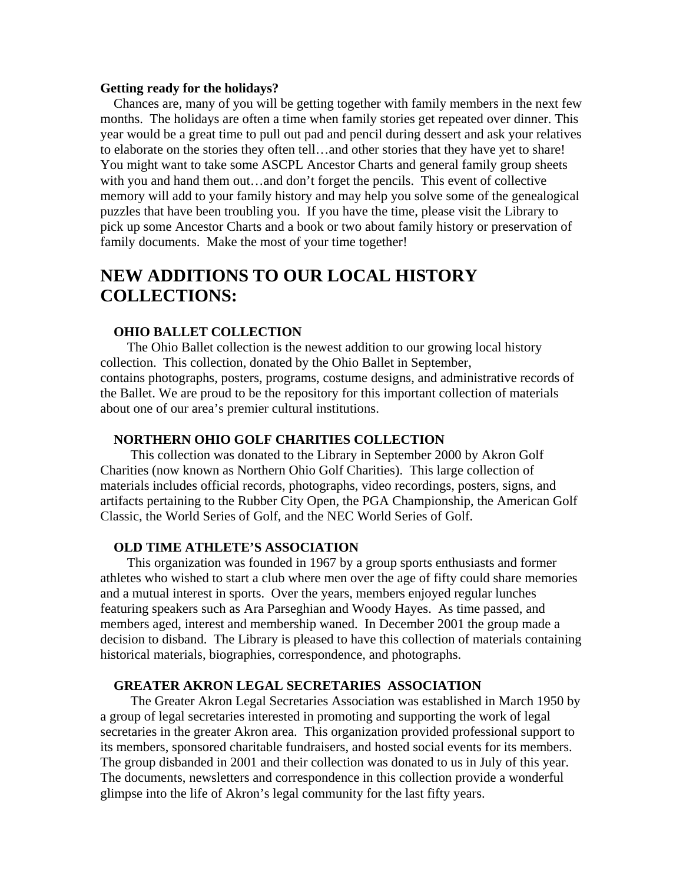#### **Getting ready for the holidays?**

 Chances are, many of you will be getting together with family members in the next few months. The holidays are often a time when family stories get repeated over dinner. This year would be a great time to pull out pad and pencil during dessert and ask your relatives to elaborate on the stories they often tell…and other stories that they have yet to share! You might want to take some ASCPL Ancestor Charts and general family group sheets with you and hand them out...and don't forget the pencils. This event of collective memory will add to your family history and may help you solve some of the genealogical puzzles that have been troubling you. If you have the time, please visit the Library to pick up some Ancestor Charts and a book or two about family history or preservation of family documents. Make the most of your time together!

# **NEW ADDITIONS TO OUR LOCAL HISTORY COLLECTIONS:**

# **OHIO BALLET COLLECTION**

The Ohio Ballet collection is the newest addition to our growing local history collection. This collection, donated by the Ohio Ballet in September, contains photographs, posters, programs, costume designs, and administrative records of the Ballet. We are proud to be the repository for this important collection of materials about one of our area's premier cultural institutions.

#### **NORTHERN OHIO GOLF CHARITIES COLLECTION**

This collection was donated to the Library in September 2000 by Akron Golf Charities (now known as Northern Ohio Golf Charities). This large collection of materials includes official records, photographs, video recordings, posters, signs, and artifacts pertaining to the Rubber City Open, the PGA Championship, the American Golf Classic, the World Series of Golf, and the NEC World Series of Golf.

# **OLD TIME ATHLETE'S ASSOCIATION**

This organization was founded in 1967 by a group sports enthusiasts and former athletes who wished to start a club where men over the age of fifty could share memories and a mutual interest in sports. Over the years, members enjoyed regular lunches featuring speakers such as Ara Parseghian and Woody Hayes. As time passed, and members aged, interest and membership waned. In December 2001 the group made a decision to disband. The Library is pleased to have this collection of materials containing historical materials, biographies, correspondence, and photographs.

#### **GREATER AKRON LEGAL SECRETARIES ASSOCIATION**

The Greater Akron Legal Secretaries Association was established in March 1950 by a group of legal secretaries interested in promoting and supporting the work of legal secretaries in the greater Akron area. This organization provided professional support to its members, sponsored charitable fundraisers, and hosted social events for its members. The group disbanded in 2001 and their collection was donated to us in July of this year. The documents, newsletters and correspondence in this collection provide a wonderful glimpse into the life of Akron's legal community for the last fifty years.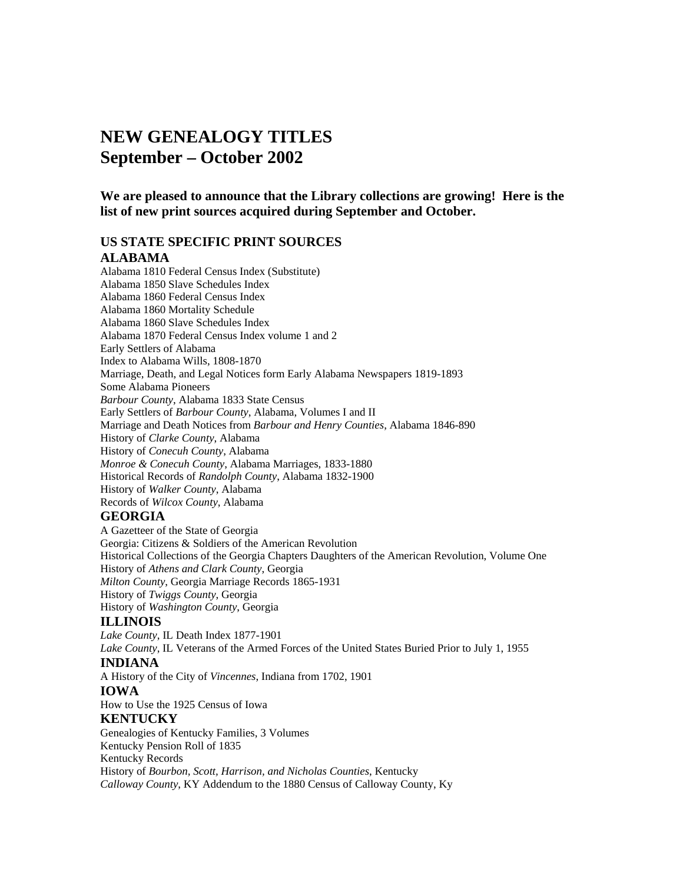# **NEW GENEALOGY TITLES September – October 2002**

**We are pleased to announce that the Library collections are growing! Here is the list of new print sources acquired during September and October.** 

# **US STATE SPECIFIC PRINT SOURCES**

# **ALABAMA**

Alabama 1810 Federal Census Index (Substitute) Alabama 1850 Slave Schedules Index Alabama 1860 Federal Census Index Alabama 1860 Mortality Schedule Alabama 1860 Slave Schedules Index Alabama 1870 Federal Census Index volume 1 and 2 Early Settlers of Alabama Index to Alabama Wills, 1808-1870 Marriage, Death, and Legal Notices form Early Alabama Newspapers 1819-1893 Some Alabama Pioneers *Barbour County*, Alabama 1833 State Census Early Settlers of *Barbour County*, Alabama, Volumes I and II Marriage and Death Notices from *Barbour and Henry Counties*, Alabama 1846-890 History of *Clarke County*, Alabama History of *Conecuh County*, Alabama *Monroe & Conecuh County*, Alabama Marriages, 1833-1880 Historical Records of *Randolph County*, Alabama 1832-1900 History of *Walker County*, Alabama Records of *Wilcox County*, Alabama

#### **GEORGIA**

A Gazetteer of the State of Georgia Georgia: Citizens & Soldiers of the American Revolution Historical Collections of the Georgia Chapters Daughters of the American Revolution, Volume One History of *Athens and Clark County*, Georgia *Milton County*, Georgia Marriage Records 1865-1931 History of *Twiggs County*, Georgia History of *Washington County*, Georgia

#### **ILLINOIS**

*Lake County*, IL Death Index 1877-1901 *Lake County*, IL Veterans of the Armed Forces of the United States Buried Prior to July 1, 1955 **INDIANA**  A History of the City of *Vincennes*, Indiana from 1702, 1901 **IOWA**  How to Use the 1925 Census of Iowa **KENTUCKY**  Genealogies of Kentucky Families, 3 Volumes Kentucky Pension Roll of 1835 Kentucky Records History of *Bourbon, Scott, Harrison, and Nicholas Counties*, Kentucky *Calloway County*, KY Addendum to the 1880 Census of Calloway County, Ky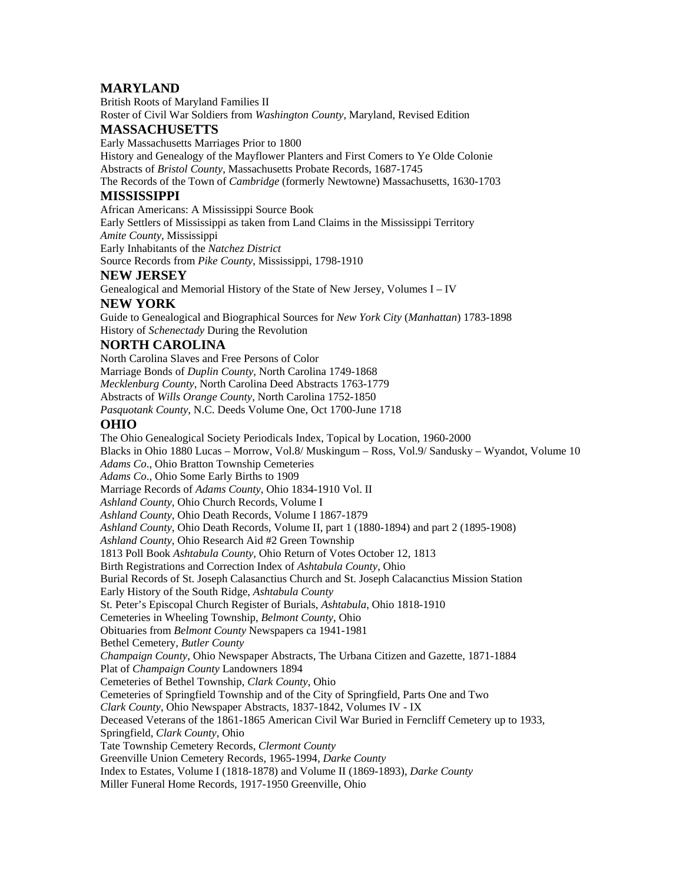# **MARYLAND**

British Roots of Maryland Families II Roster of Civil War Soldiers from *Washington County*, Maryland, Revised Edition

### **MASSACHUSETTS**

Early Massachusetts Marriages Prior to 1800

History and Genealogy of the Mayflower Planters and First Comers to Ye Olde Colonie Abstracts of *Bristol County*, Massachusetts Probate Records, 1687-1745

The Records of the Town of *Cambridge* (formerly Newtowne) Massachusetts, 1630-1703

# **MISSISSIPPI**

African Americans: A Mississippi Source Book

Early Settlers of Mississippi as taken from Land Claims in the Mississippi Territory *Amite County*, Mississippi

Early Inhabitants of the *Natchez District*

Source Records from *Pike County*, Mississippi, 1798-1910

### **NEW JERSEY**

Genealogical and Memorial History of the State of New Jersey, Volumes I – IV

### **NEW YORK**

Guide to Genealogical and Biographical Sources for *New York City* (*Manhattan*) 1783-1898 History of *Schenectady* During the Revolution

### **NORTH CAROLINA**

North Carolina Slaves and Free Persons of Color Marriage Bonds of *Duplin County*, North Carolina 1749-1868 *Mecklenburg County*, North Carolina Deed Abstracts 1763-1779 Abstracts of *Wills Orange County*, North Carolina 1752-1850

*Pasquotank County*, N.C. Deeds Volume One, Oct 1700-June 1718

# **OHIO**

The Ohio Genealogical Society Periodicals Index, Topical by Location, 1960-2000 Blacks in Ohio 1880 Lucas – Morrow, Vol.8/ Muskingum – Ross, Vol.9/ Sandusky – Wyandot, Volume 10 *Adams Co*., Ohio Bratton Township Cemeteries *Adams Co*., Ohio Some Early Births to 1909 Marriage Records of *Adams County*, Ohio 1834-1910 Vol. II *Ashland County*, Ohio Church Records, Volume I *Ashland County*, Ohio Death Records, Volume I 1867-1879 *Ashland County*, Ohio Death Records, Volume II, part 1 (1880-1894) and part 2 (1895-1908) *Ashland County*, Ohio Research Aid #2 Green Township 1813 Poll Book *Ashtabula County*, Ohio Return of Votes October 12, 1813 Birth Registrations and Correction Index of *Ashtabula County*, Ohio Burial Records of St. Joseph Calasanctius Church and St. Joseph Calacanctius Mission Station Early History of the South Ridge, *Ashtabula County* St. Peter's Episcopal Church Register of Burials, *Ashtabula*, Ohio 1818-1910 Cemeteries in Wheeling Township, *Belmont County*, Ohio Obituaries from *Belmont County* Newspapers ca 1941-1981 Bethel Cemetery, *Butler County Champaign County*, Ohio Newspaper Abstracts, The Urbana Citizen and Gazette, 1871-1884 Plat of *Champaign County* Landowners 1894 Cemeteries of Bethel Township, *Clark County*, Ohio Cemeteries of Springfield Township and of the City of Springfield, Parts One and Two *Clark County*, Ohio Newspaper Abstracts, 1837-1842, Volumes IV - IX Deceased Veterans of the 1861-1865 American Civil War Buried in Ferncliff Cemetery up to 1933, Springfield, *Clark County*, Ohio Tate Township Cemetery Records, *Clermont County* Greenville Union Cemetery Records, 1965-1994, *Darke County* Index to Estates, Volume I (1818-1878) and Volume II (1869-1893), *Darke County* Miller Funeral Home Records, 1917-1950 Greenville, Ohio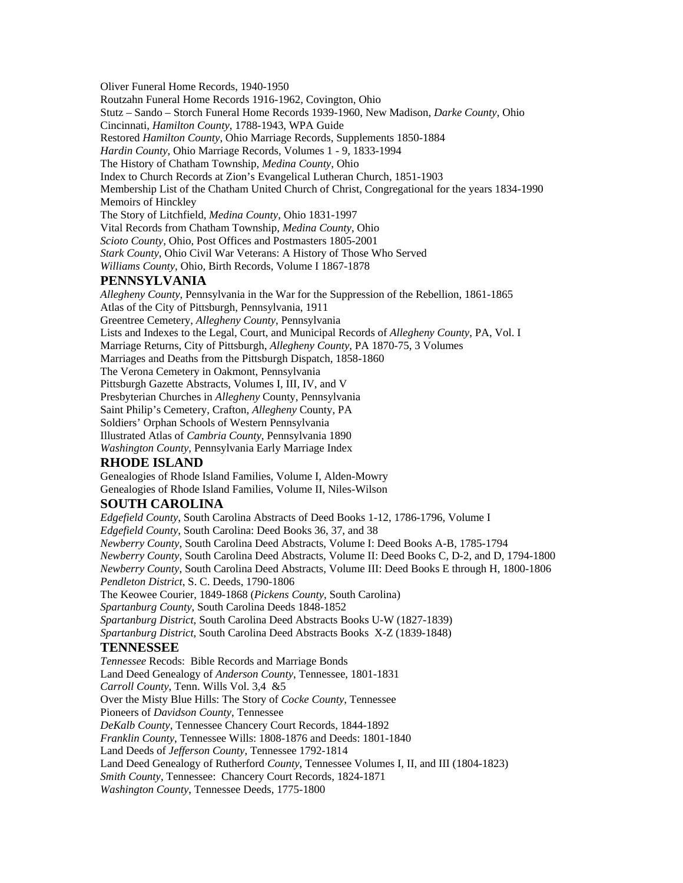Oliver Funeral Home Records, 1940-1950 Routzahn Funeral Home Records 1916-1962, Covington, Ohio Stutz – Sando – Storch Funeral Home Records 1939-1960, New Madison, *Darke County*, Ohio Cincinnati, *Hamilton County*, 1788-1943, WPA Guide Restored *Hamilton County*, Ohio Marriage Records, Supplements 1850-1884 *Hardin County*, Ohio Marriage Records, Volumes 1 - 9, 1833-1994 The History of Chatham Township, *Medina County*, Ohio Index to Church Records at Zion's Evangelical Lutheran Church, 1851-1903 Membership List of the Chatham United Church of Christ, Congregational for the years 1834-1990 Memoirs of Hinckley The Story of Litchfield, *Medina County*, Ohio 1831-1997 Vital Records from Chatham Township, *Medina County*, Ohio *Scioto County*, Ohio, Post Offices and Postmasters 1805-2001 *Stark County*, Ohio Civil War Veterans: A History of Those Who Served *Williams County*, Ohio, Birth Records, Volume I 1867-1878 **PENNSYLVANIA**  *Allegheny County*, Pennsylvania in the War for the Suppression of the Rebellion, 1861-1865 Atlas of the City of Pittsburgh, Pennsylvania, 1911 Greentree Cemetery, *Allegheny County*, Pennsylvania Lists and Indexes to the Legal, Court, and Municipal Records of *Allegheny County*, PA, Vol. I Marriage Returns, City of Pittsburgh, *Allegheny County*, PA 1870-75, 3 Volumes Marriages and Deaths from the Pittsburgh Dispatch, 1858-1860 The Verona Cemetery in Oakmont, Pennsylvania Pittsburgh Gazette Abstracts, Volumes I, III, IV, and V Presbyterian Churches in *Allegheny* County, Pennsylvania Saint Philip's Cemetery, Crafton, *Allegheny* County, PA Soldiers' Orphan Schools of Western Pennsylvania Illustrated Atlas of *Cambria County*, Pennsylvania 1890 *Washington County*, Pennsylvania Early Marriage Index **RHODE ISLAND**  Genealogies of Rhode Island Families, Volume I, Alden-Mowry

Genealogies of Rhode Island Families, Volume II, Niles-Wilson

#### **SOUTH CAROLINA**

*Edgefield County*, South Carolina Abstracts of Deed Books 1-12, 1786-1796, Volume I *Edgefield County*, South Carolina: Deed Books 36, 37, and 38 *Newberry County*, South Carolina Deed Abstracts, Volume I: Deed Books A-B, 1785-1794 *Newberry County*, South Carolina Deed Abstracts, Volume II: Deed Books C, D-2, and D, 1794-1800 *Newberry County*, South Carolina Deed Abstracts, Volume III: Deed Books E through H, 1800-1806 *Pendleton District*, S. C. Deeds, 1790-1806 The Keowee Courier, 1849-1868 (*Pickens County*, South Carolina) *Spartanburg County*, South Carolina Deeds 1848-1852 *Spartanburg District*, South Carolina Deed Abstracts Books U-W (1827-1839) *Spartanburg District*, South Carolina Deed Abstracts Books X-Z (1839-1848) **TENNESSEE**  *Tennessee* Recods: Bible Records and Marriage Bonds Land Deed Genealogy of *Anderson County*, Tennessee, 1801-1831 *Carroll County*, Tenn. Wills Vol. 3,4 &5 Over the Misty Blue Hills: The Story of *Cocke County*, Tennessee Pioneers of *Davidson County*, Tennessee *DeKalb County*, Tennessee Chancery Court Records, 1844-1892 *Franklin County*, Tennessee Wills: 1808-1876 and Deeds: 1801-1840 Land Deeds of *Jefferson County*, Tennessee 1792-1814 Land Deed Genealogy of Rutherford *County*, Tennessee Volumes I, II, and III (1804-1823) *Smith County*, Tennessee: Chancery Court Records, 1824-1871 *Washington County*, Tennessee Deeds, 1775-1800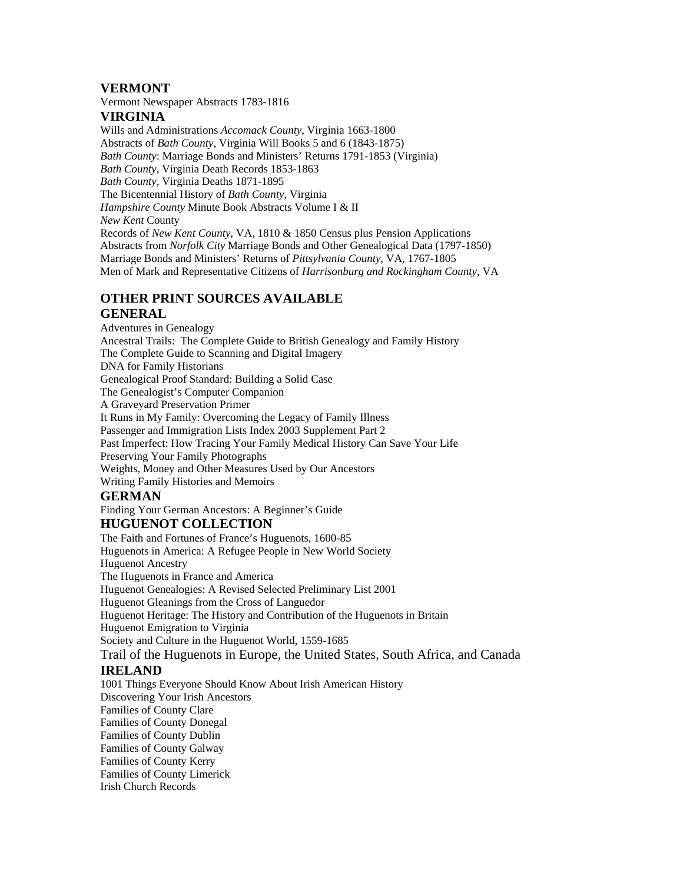# **VERMONT**

Vermont Newspaper Abstracts 1783-1816

# **VIRGINIA**

Wills and Administrations *Accomack County*, Virginia 1663-1800 Abstracts of *Bath County*, Virginia Will Books 5 and 6 (1843-1875) *Bath County*: Marriage Bonds and Ministers' Returns 1791-1853 (Virginia) *Bath County*, Virginia Death Records 1853-1863 *Bath County*, Virginia Deaths 1871-1895 The Bicentennial History of *Bath County*, Virginia *Hampshire County* Minute Book Abstracts Volume I & II *New Kent* County Records of *New Kent County*, VA, 1810 & 1850 Census plus Pension Applications Abstracts from *Norfolk City* Marriage Bonds and Other Genealogical Data (1797-1850) Marriage Bonds and Ministers' Returns of *Pittsylvania County*, VA, 1767-1805 Men of Mark and Representative Citizens of *Harrisonburg and Rockingham County*, VA

# **OTHER PRINT SOURCES AVAILABLE**

# **GENERAL**

Adventures in Genealogy Ancestral Trails: The Complete Guide to British Genealogy and Family History The Complete Guide to Scanning and Digital Imagery DNA for Family Historians Genealogical Proof Standard: Building a Solid Case The Genealogist's Computer Companion A Graveyard Preservation Primer It Runs in My Family: Overcoming the Legacy of Family Illness Passenger and Immigration Lists Index 2003 Supplement Part 2 Past Imperfect: How Tracing Your Family Medical History Can Save Your Life Preserving Your Family Photographs Weights, Money and Other Measures Used by Our Ancestors Writing Family Histories and Memoirs

# **GERMAN**

Finding Your German Ancestors: A Beginner's Guide

# **HUGUENOT COLLECTION**

The Faith and Fortunes of France's Huguenots, 1600-85 Huguenots in America: A Refugee People in New World Society Huguenot Ancestry The Huguenots in France and America Huguenot Genealogies: A Revised Selected Preliminary List 2001 Huguenot Gleanings from the Cross of Languedor Huguenot Heritage: The History and Contribution of the Huguenots in Britain Huguenot Emigration to Virginia Society and Culture in the Huguenot World, 1559-1685 Trail of the Huguenots in Europe, the United States, South Africa, and Canada

# **IRELAND**

1001 Things Everyone Should Know About Irish American History Discovering Your Irish Ancestors Families of County Clare Families of County Donegal Families of County Dublin Families of County Galway Families of County Kerry Families of County Limerick Irish Church Records